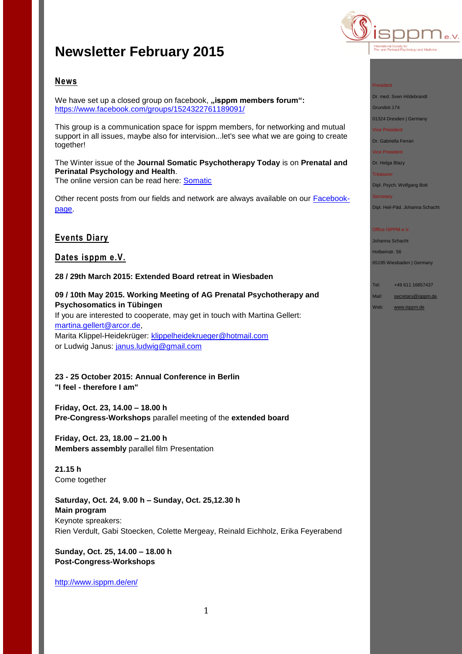# **Newsletter February 2015**



## **News**

We have set up a closed group on facebook, "isppm members forum": <https://www.facebook.com/groups/1524322761189091/>

This group is a communication space for isppm members, for networking and mutual support in all issues, maybe also for intervision...let's see what we are going to create together!

The Winter issue of the **Journal Somatic Psychotherapy Today** is on **Prenatal and Perinatal Psychology and Health**.

The online version can be read here: [Somatic](http://issuu.com/somaticpsychotherapytoday/docs/issuu_spt_winter_2015_volume_5__num_4ab194fe560ea4/0)

Other recent posts from our fields and network are always available on our **Facebook**[page.](https://www.facebook.com/pages/ISPPM-eV/124066644364106)

## **Events Diary**

**Dates isppm e.V.**

**28 / 29th March 2015: Extended Board retreat in Wiesbaden**

**09 / 10th May 2015. Working Meeting of AG Prenatal Psychotherapy and Psychosomatics in Tübingen**

If you are interested to cooperate, may get in touch with Martina Gellert: [martina.gellert@arcor.de,](mailto:martina.gellert@arcor.de) Marita Klippel-Heidekrüger: [klippelheidekrueger@hotmail.com](mailto:klippelheidekrueger@hotmail.com) or Ludwig Janus: [janus.ludwig@gmail.com](mailto:janus.ludwig@gmail.com)

**23 - 25 October 2015: Annual Conference in Berlin "I feel - therefore I am"**

**Friday, Oct. 23, 14.00 – 18.00 h Pre-Congress-Workshops** parallel meeting of the **extended board** 

**Friday, Oct. 23, 18.00 – 21.00 h Members assembly** parallel film Presentation

**21.15 h** Come together

**Saturday, Oct. 24, 9.00 h – Sunday, Oct. 25,12.30 h Main program** Keynote spreakers: Rien Verdult, Gabi Stoecken, Colette Mergeay, Reinald Eichholz, Erika Feyerabend

**Sunday, Oct. 25, 14.00 – 18.00 h Post-Congress-Workshops**

[http://www.isppm.de/en/](http://www.isppm.de/en/23-25-october-2015-annual-conference-in-berlin/)

#### President

Dr. med. Sven Hildebrandt

Grundstr.174

01324 Dresden | Germany Vice President

Dr. Gabriella Ferrari

Vice President

Dr. Helga Blazy

**Treasurer** 

Dipl. Psych. Wolfgang Bott

Dipl. Heil-Päd. Johanna Schacht

#### Office ISPPM e.V.

Johanna Schacht Holbeinstr. 56 65195 Wiesbaden | Germany

Tel: +49 611 16857437 Mail: [secretary@isppm.de](mailto:secretary@isppm.de)

Web: [www.isppm.de](http://www.isppm.de/)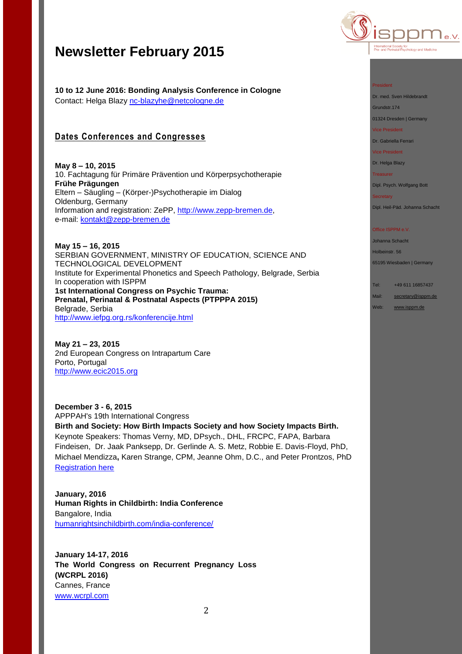# **Newsletter February 2015**

**10 to 12 June 2016: Bonding Analysis Conference in Cologne** Contact: Helga Blazy [nc-blazyhe@netcologne.de](mailto:nc-blazyhe@netcologne.de)

## **Dates Conferences and Congresses**

**May 8 – 10, 2015** 10. Fachtagung für Primäre Prävention und Körperpsychotherapie **Frühe Prägungen** Eltern – Säugling – (Körper-)Psychotherapie im Dialog Oldenburg, Germany Information and registration: ZePP, [http://www.zepp-bremen.de,](http://www.zepp-bremen.de/) e-mail: [kontakt@zepp-bremen.de](mailto:kontakt@zepp-bremen.de)

**May 15 – 16, 2015** SERBIAN GOVERNMENT, MINISTRY OF EDUCATION, SCIENCE AND TECHNOLOGICAL DEVELOPMENT Institute for Experimental Phonetics and Speech Pathology, Belgrade, Serbia In cooperation with ISPPM **1st International Congress on Psychic Trauma: Prenatal, Perinatal & Postnatal Aspects (PTPPPA 2015)** Belgrade, Serbia <http://www.iefpg.org.rs/konferencije.html>

**May 21 – 23, 2015** 2nd European Congress on Intrapartum Care Porto, Portugal [http://www.ecic2015.org](http://www.ecic2015.org/)

**December 3 - 6, 2015** APPPAH's 19th International Congress **Birth and Society: How Birth Impacts Society and how Society Impacts Birth.** Keynote Speakers: Thomas Verny, MD, DPsych., DHL, FRCPC, FAPA, Barbara Findeisen, Dr. Jaak Panksepp, Dr. Gerlinde A. S. Metz, Robbie E. Davis-Floyd, PhD, Michael Mendizza**,** Karen Strange, CPM, Jeanne Ohm, D.C., and Peter Prontzos, PhD [Registration here](http://r20.rs6.net/tn.jsp?f=001ow1wkvozei_88VPX53sV2VFa_ZuxEIVEKa01uLsN1mbdQzyyQdhs_FXedW1fhcbR0cAnBWKAa58XC3PwfiugTa1u-MPUS6Vonsz2fJNfQoB35pjIsF_7lD1CN_qw8TKu7v5JAd5plpwt_sJH1Yde9EazKKjwqyMJ21kbRBK73s3eVNH4L1EyhKr9FAjjkUSl1fgyAKzNeZsbRxoBWUe7j8en6Y0oQ_VI&c=LWshyrIfwgT0SZxQf9pomHGUyyn_Wvxtp2RWpyiRrhc-6I_2N51Iww==&ch=fzqAY8gzqrfAbvVlvh6O_uf6Y0uhLqpZVtR_fAmpQsLRiSXUV-TJkQ==)

**January, 2016 Human Rights in Childbirth: India Conference** Bangalore, India [humanrightsinchildbirth.com/india-conference/](http://humanrightsinchildbirth.com/india-conference/)

**January 14-17, 2016 The World Congress on Recurrent Pregnancy Loss (WCRPL 2016)** Cannes, France [www.wcrpl.com](http://www.wcrpl.com/)



#### President

Dr. med. Sven Hildebrandt

Grundstr.174

01324 Dresden | Germany

Vice President

Dr. Gabriella Ferrari

Vice President

### Dr. Helga Blazy

**Treasurer** 

Dipl. Psych. Wolfgang Bott

Dipl. Heil-Päd. Johanna Schacht

#### Office ISPPM e.V.

Johanna Schacht Holbeinstr. 56 65195 Wiesbaden | Germany

Tel: +49 611 16857437 Mail: [secretary@isppm.de](mailto:secretary@isppm.de) Web: [www.isppm.de](http://www.isppm.de/)